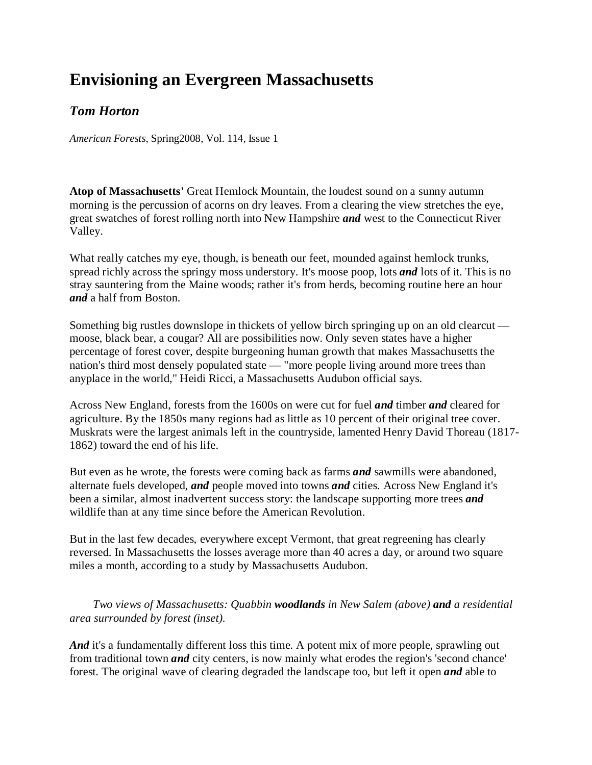## **Envisioning an Evergreen Massachusetts**

## *Tom Horton*

*American Forests*, Spring2008, Vol. 114, Issue 1

**Atop of Massachusetts'** Great Hemlock Mountain, the loudest sound on a sunny autumn morning is the percussion of acorns on dry leaves. From a clearing the view stretches the eye, great swatches of forest rolling north into New Hampshire *and* west to the Connecticut River Valley.

What really catches my eye, though, is beneath our feet, mounded against hemlock trunks, spread richly across the springy moss understory. It's moose poop, lots *and* lots of it. This is no stray sauntering from the Maine woods; rather it's from herds, becoming routine here an hour *and* a half from Boston.

Something big rustles downslope in thickets of yellow birch springing up on an old clearcut moose, black bear, a cougar? All are possibilities now. Only seven states have a higher percentage of forest cover, despite burgeoning human growth that makes Massachusetts the nation's third most densely populated state — "more people living around more trees than anyplace in the world," Heidi Ricci, a Massachusetts Audubon official says.

Across New England, forests from the 1600s on were cut for fuel *and* timber *and* cleared for agriculture. By the 1850s many regions had as little as 10 percent of their original tree cover. Muskrats were the largest animals left in the countryside, lamented Henry David Thoreau (1817- 1862) toward the end of his life.

But even as he wrote, the forests were coming back as farms *and* sawmills were abandoned, alternate fuels developed, *and* people moved into towns *and* cities. Across New England it's been a similar, almost inadvertent success story: the landscape supporting more trees *and* wildlife than at any time since before the American Revolution.

But in the last few decades, everywhere except Vermont, that great regreening has clearly reversed. In Massachusetts the losses average more than 40 acres a day, or around two square miles a month, according to a study by Massachusetts Audubon.

*Two views of Massachusetts: Quabbin woodlands in New Salem (above) and a residential area surrounded by forest (inset).*

And it's a fundamentally different loss this time. A potent mix of more people, sprawling out from traditional town *and* city centers, is now mainly what erodes the region's 'second chance' forest. The original wave of clearing degraded the landscape too, but left it open *and* able to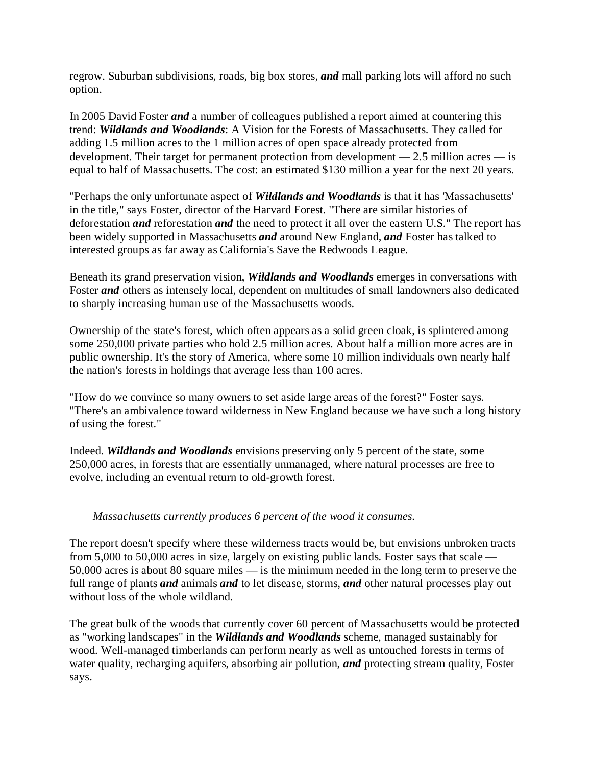regrow. Suburban subdivisions, roads, big box stores, *and* mall parking lots will afford no such option.

In 2005 David Foster *and* a number of colleagues published a report aimed at countering this trend: *Wildlands and Woodlands*: A Vision for the Forests of Massachusetts. They called for adding 1.5 million acres to the 1 million acres of open space already protected from development. Their target for permanent protection from development — 2.5 million acres — is equal to half of Massachusetts. The cost: an estimated \$130 million a year for the next 20 years.

"Perhaps the only unfortunate aspect of *Wildlands and Woodlands* is that it has 'Massachusetts' in the title," says Foster, director of the Harvard Forest. "There are similar histories of deforestation *and* reforestation *and* the need to protect it all over the eastern U.S." The report has been widely supported in Massachusetts *and* around New England, *and* Foster has talked to interested groups as far away as California's Save the Redwoods League.

Beneath its grand preservation vision, *Wildlands and Woodlands* emerges in conversations with Foster *and* others as intensely local, dependent on multitudes of small landowners also dedicated to sharply increasing human use of the Massachusetts woods.

Ownership of the state's forest, which often appears as a solid green cloak, is splintered among some 250,000 private parties who hold 2.5 million acres. About half a million more acres are in public ownership. It's the story of America, where some 10 million individuals own nearly half the nation's forests in holdings that average less than 100 acres.

"How do we convince so many owners to set aside large areas of the forest?" Foster says. "There's an ambivalence toward wilderness in New England because we have such a long history of using the forest."

Indeed. *Wildlands and Woodlands* envisions preserving only 5 percent of the state, some 250,000 acres, in forests that are essentially unmanaged, where natural processes are free to evolve, including an eventual return to old-growth forest.

## *Massachusetts currently produces 6 percent of the wood it consumes.*

The report doesn't specify where these wilderness tracts would be, but envisions unbroken tracts from 5,000 to 50,000 acres in size, largely on existing public lands. Foster says that scale — 50,000 acres is about 80 square miles — is the minimum needed in the long term to preserve the full range of plants *and* animals *and* to let disease, storms, *and* other natural processes play out without loss of the whole wildland.

The great bulk of the woods that currently cover 60 percent of Massachusetts would be protected as "working landscapes" in the *Wildlands and Woodlands* scheme, managed sustainably for wood. Well-managed timberlands can perform nearly as well as untouched forests in terms of water quality, recharging aquifers, absorbing air pollution, *and* protecting stream quality, Foster says.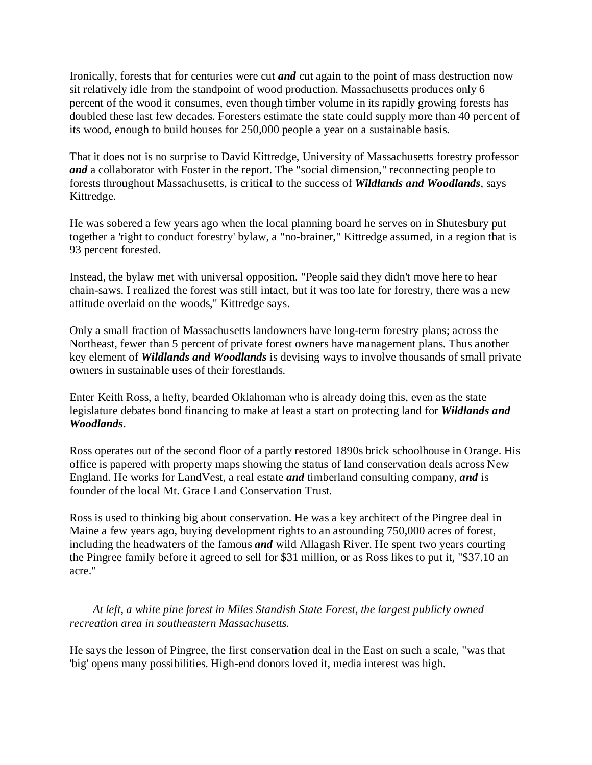Ironically, forests that for centuries were cut *and* cut again to the point of mass destruction now sit relatively idle from the standpoint of wood production. Massachusetts produces only 6 percent of the wood it consumes, even though timber volume in its rapidly growing forests has doubled these last few decades. Foresters estimate the state could supply more than 40 percent of its wood, enough to build houses for 250,000 people a year on a sustainable basis.

That it does not is no surprise to David Kittredge, University of Massachusetts forestry professor *and* a collaborator with Foster in the report. The "social dimension," reconnecting people to forests throughout Massachusetts, is critical to the success of *Wildlands and Woodlands*, says Kittredge.

He was sobered a few years ago when the local planning board he serves on in Shutesbury put together a 'right to conduct forestry' bylaw, a "no-brainer," Kittredge assumed, in a region that is 93 percent forested.

Instead, the bylaw met with universal opposition. "People said they didn't move here to hear chain-saws. I realized the forest was still intact, but it was too late for forestry, there was a new attitude overlaid on the woods," Kittredge says.

Only a small fraction of Massachusetts landowners have long-term forestry plans; across the Northeast, fewer than 5 percent of private forest owners have management plans. Thus another key element of *Wildlands and Woodlands* is devising ways to involve thousands of small private owners in sustainable uses of their forestlands.

Enter Keith Ross, a hefty, bearded Oklahoman who is already doing this, even as the state legislature debates bond financing to make at least a start on protecting land for *Wildlands and Woodlands*.

Ross operates out of the second floor of a partly restored 1890s brick schoolhouse in Orange. His office is papered with property maps showing the status of land conservation deals across New England. He works for LandVest, a real estate *and* timberland consulting company, *and* is founder of the local Mt. Grace Land Conservation Trust.

Ross is used to thinking big about conservation. He was a key architect of the Pingree deal in Maine a few years ago, buying development rights to an astounding 750,000 acres of forest, including the headwaters of the famous *and* wild Allagash River. He spent two years courting the Pingree family before it agreed to sell for \$31 million, or as Ross likes to put it, "\$37.10 an acre."

*At left, a white pine forest in Miles Standish State Forest, the largest publicly owned recreation area in southeastern Massachusetts.*

He says the lesson of Pingree, the first conservation deal in the East on such a scale, "was that 'big' opens many possibilities. High-end donors loved it, media interest was high.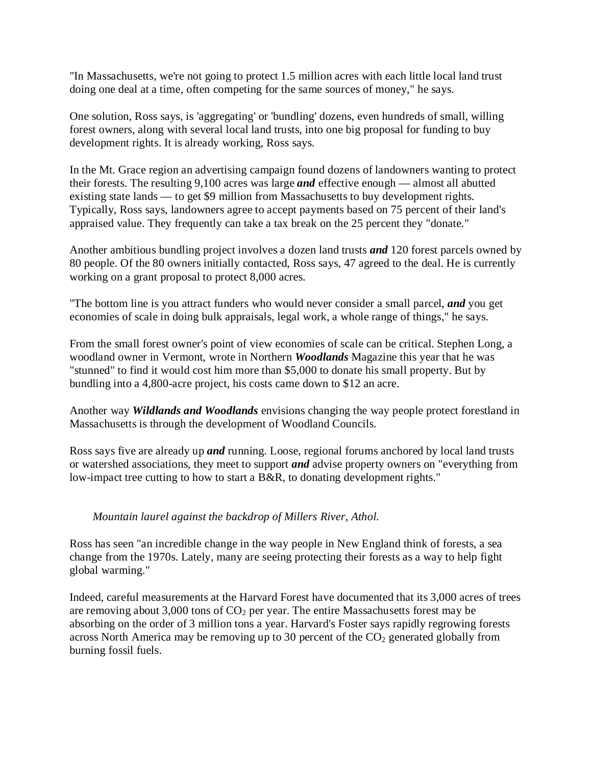"In Massachusetts, we're not going to protect 1.5 million acres with each little local land trust doing one deal at a time, often competing for the same sources of money," he says.

One solution, Ross says, is 'aggregating' or 'bundling' dozens, even hundreds of small, willing forest owners, along with several local land trusts, into one big proposal for funding to buy development rights. It is already working, Ross says.

In the Mt. Grace region an advertising campaign found dozens of landowners wanting to protect their forests. The resulting 9,100 acres was large *and* effective enough — almost all abutted existing state lands — to get \$9 million from Massachusetts to buy development rights. Typically, Ross says, landowners agree to accept payments based on 75 percent of their land's appraised value. They frequently can take a tax break on the 25 percent they "donate."

Another ambitious bundling project involves a dozen land trusts *and* 120 forest parcels owned by 80 people. Of the 80 owners initially contacted, Ross says, 47 agreed to the deal. He is currently working on a grant proposal to protect 8,000 acres.

"The bottom line is you attract funders who would never consider a small parcel, *and* you get economies of scale in doing bulk appraisals, legal work, a whole range of things," he says.

From the small forest owner's point of view economies of scale can be critical. Stephen Long, a woodland owner in Vermont, wrote in Northern *Woodlands* Magazine this year that he was "stunned" to find it would cost him more than \$5,000 to donate his small property. But by bundling into a 4,800-acre project, his costs came down to \$12 an acre.

Another way *Wildlands and Woodlands* envisions changing the way people protect forestland in Massachusetts is through the development of Woodland Councils.

Ross says five are already up *and* running. Loose, regional forums anchored by local land trusts or watershed associations, they meet to support *and* advise property owners on "everything from low-impact tree cutting to how to start a B&R, to donating development rights."

## *Mountain laurel against the backdrop of Millers River, Athol.*

Ross has seen "an incredible change in the way people in New England think of forests, a sea change from the 1970s. Lately, many are seeing protecting their forests as a way to help fight global warming."

Indeed, careful measurements at the Harvard Forest have documented that its 3,000 acres of trees are removing about 3,000 tons of  $CO<sub>2</sub>$  per year. The entire Massachusetts forest may be absorbing on the order of 3 million tons a year. Harvard's Foster says rapidly regrowing forests across North America may be removing up to 30 percent of the  $CO<sub>2</sub>$  generated globally from burning fossil fuels.